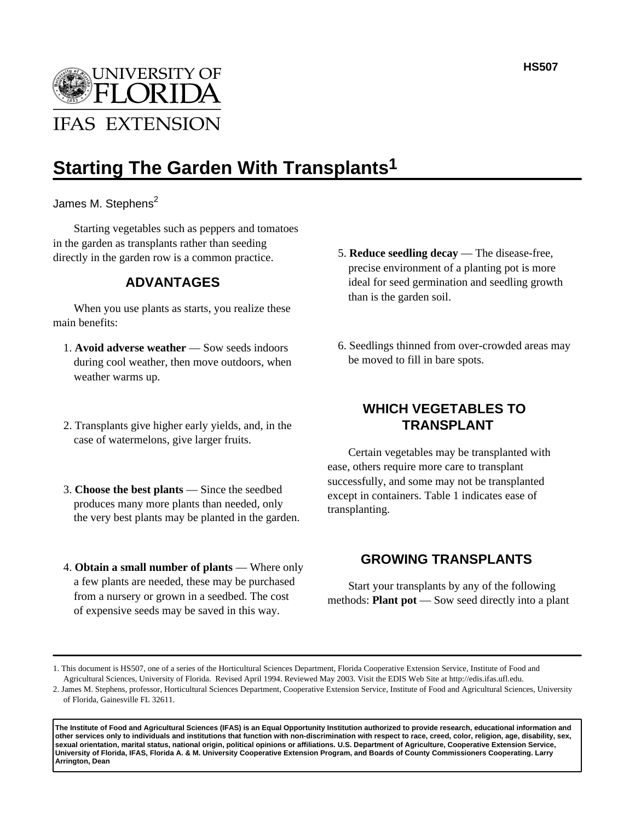

# **Starting The Garden With Transplants1**

#### James M. Stephens $<sup>2</sup>$ </sup>

Starting vegetables such as peppers and tomatoes in the garden as transplants rather than seeding directly in the garden row is a common practice.

# **ADVANTAGES**

When you use plants as starts, you realize these main benefits:

- 1. **Avoid adverse weather** Sow seeds indoors during cool weather, then move outdoors, when weather warms up.
- 2. Transplants give higher early yields, and, in the case of watermelons, give larger fruits.
- 3. **Choose the best plants** Since the seedbed produces many more plants than needed, only the very best plants may be planted in the garden.
- 4. **Obtain a small number of plants** Where only a few plants are needed, these may be purchased from a nursery or grown in a seedbed. The cost of expensive seeds may be saved in this way.
- 5. **Reduce seedling decay** The disease-free, precise environment of a planting pot is more ideal for seed germination and seedling growth than is the garden soil.
- 6. Seedlings thinned from over-crowded areas may be moved to fill in bare spots.

# **WHICH VEGETABLES TO TRANSPLANT**

Certain vegetables may be transplanted with ease, others require more care to transplant successfully, and some may not be transplanted except in containers. Table 1 indicates ease of transplanting.

# **GROWING TRANSPLANTS**

Start your transplants by any of the following methods: **Plant pot** — Sow seed directly into a plant

**The Institute of Food and Agricultural Sciences (IFAS) is an Equal Opportunity Institution authorized to provide research, educational information and other services only to individuals and institutions that function with non-discrimination with respect to race, creed, color, religion, age, disability, sex, sexual orientation, marital status, national origin, political opinions or affiliations. U.S. Department of Agriculture, Cooperative Extension Service, University of Florida, IFAS, Florida A. & M. University Cooperative Extension Program, and Boards of County Commissioners Cooperating. Larry Arrington, Dean**

<sup>1.</sup> This document is HS507, one of a series of the Horticultural Sciences Department, Florida Cooperative Extension Service, Institute of Food and Agricultural Sciences, University of Florida. Revised April 1994. Reviewed May 2003. Visit the EDIS Web Site at http://edis.ifas.ufl.edu.

<sup>2.</sup> James M. Stephens, professor, Horticultural Sciences Department, Cooperative Extension Service, Institute of Food and Agricultural Sciences, University of Florida, Gainesville FL 32611.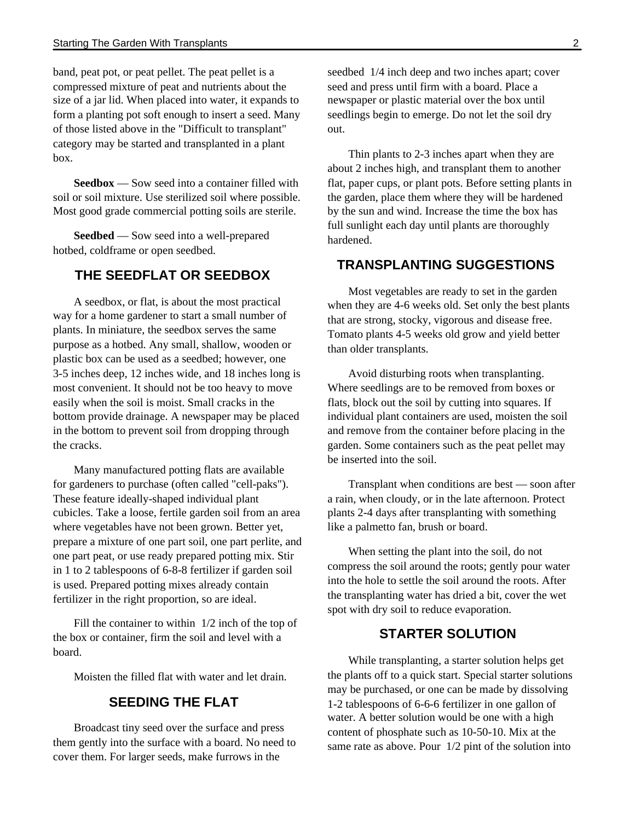band, peat pot, or peat pellet. The peat pellet is a compressed mixture of peat and nutrients about the size of a jar lid. When placed into water, it expands to form a planting pot soft enough to insert a seed. Many of those listed above in the "Difficult to transplant" category may be started and transplanted in a plant box.

**Seedbox** — Sow seed into a container filled with soil or soil mixture. Use sterilized soil where possible. Most good grade commercial potting soils are sterile.

**Seedbed** — Sow seed into a well-prepared hotbed, coldframe or open seedbed.

# **THE SEEDFLAT OR SEEDBOX**

A seedbox, or flat, is about the most practical way for a home gardener to start a small number of plants. In miniature, the seedbox serves the same purpose as a hotbed. Any small, shallow, wooden or plastic box can be used as a seedbed; however, one 3-5 inches deep, 12 inches wide, and 18 inches long is most convenient. It should not be too heavy to move easily when the soil is moist. Small cracks in the bottom provide drainage. A newspaper may be placed in the bottom to prevent soil from dropping through the cracks.

Many manufactured potting flats are available for gardeners to purchase (often called "cell-paks"). These feature ideally-shaped individual plant cubicles. Take a loose, fertile garden soil from an area where vegetables have not been grown. Better yet, prepare a mixture of one part soil, one part perlite, and one part peat, or use ready prepared potting mix. Stir in 1 to 2 tablespoons of 6-8-8 fertilizer if garden soil is used. Prepared potting mixes already contain fertilizer in the right proportion, so are ideal.

Fill the container to within 1/2 inch of the top of the box or container, firm the soil and level with a board.

Moisten the filled flat with water and let drain.

#### **SEEDING THE FLAT**

Broadcast tiny seed over the surface and press them gently into the surface with a board. No need to cover them. For larger seeds, make furrows in the

seedbed 1/4 inch deep and two inches apart; cover seed and press until firm with a board. Place a newspaper or plastic material over the box until seedlings begin to emerge. Do not let the soil dry out.

Thin plants to 2-3 inches apart when they are about 2 inches high, and transplant them to another flat, paper cups, or plant pots. Before setting plants in the garden, place them where they will be hardened by the sun and wind. Increase the time the box has full sunlight each day until plants are thoroughly hardened.

#### **TRANSPLANTING SUGGESTIONS**

Most vegetables are ready to set in the garden when they are 4-6 weeks old. Set only the best plants that are strong, stocky, vigorous and disease free. Tomato plants 4-5 weeks old grow and yield better than older transplants.

Avoid disturbing roots when transplanting. Where seedlings are to be removed from boxes or flats, block out the soil by cutting into squares. If individual plant containers are used, moisten the soil and remove from the container before placing in the garden. Some containers such as the peat pellet may be inserted into the soil.

Transplant when conditions are best — soon after a rain, when cloudy, or in the late afternoon. Protect plants 2-4 days after transplanting with something like a palmetto fan, brush or board.

When setting the plant into the soil, do not compress the soil around the roots; gently pour water into the hole to settle the soil around the roots. After the transplanting water has dried a bit, cover the wet spot with dry soil to reduce evaporation.

# **STARTER SOLUTION**

While transplanting, a starter solution helps get the plants off to a quick start. Special starter solutions may be purchased, or one can be made by dissolving 1-2 tablespoons of 6-6-6 fertilizer in one gallon of water. A better solution would be one with a high content of phosphate such as 10-50-10. Mix at the same rate as above. Pour 1/2 pint of the solution into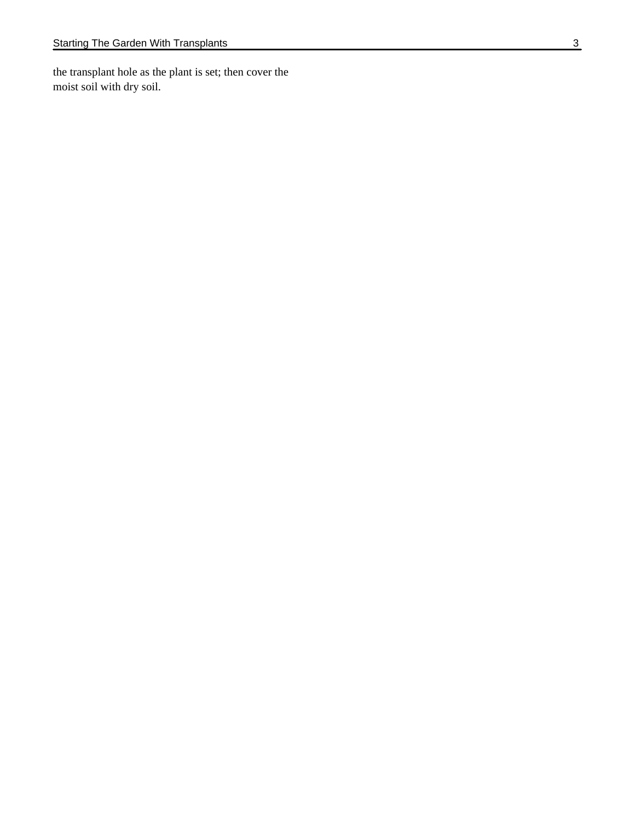the transplant hole as the plant is set; then cover the moist soil with dry soil.